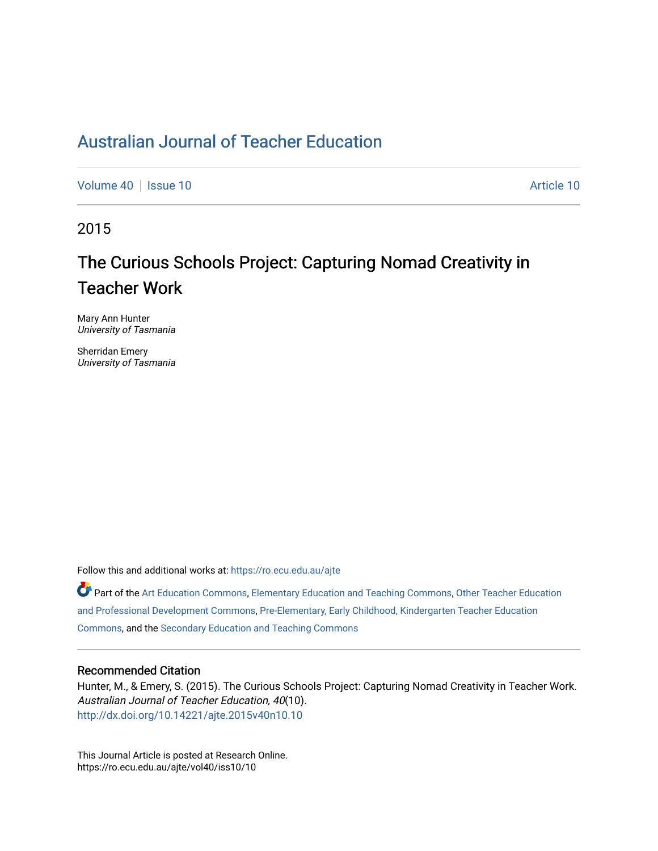## [Australian Journal of Teacher Education](https://ro.ecu.edu.au/ajte)

[Volume 40](https://ro.ecu.edu.au/ajte/vol40) | [Issue 10](https://ro.ecu.edu.au/ajte/vol40/iss10) Article 10

2015

# The Curious Schools Project: Capturing Nomad Creativity in Teacher Work

Mary Ann Hunter University of Tasmania

Sherridan Emery University of Tasmania

Follow this and additional works at: [https://ro.ecu.edu.au/ajte](https://ro.ecu.edu.au/ajte?utm_source=ro.ecu.edu.au%2Fajte%2Fvol40%2Fiss10%2F10&utm_medium=PDF&utm_campaign=PDFCoverPages) 

Part of the [Art Education Commons](http://network.bepress.com/hgg/discipline/1149?utm_source=ro.ecu.edu.au%2Fajte%2Fvol40%2Fiss10%2F10&utm_medium=PDF&utm_campaign=PDFCoverPages), [Elementary Education and Teaching Commons,](http://network.bepress.com/hgg/discipline/805?utm_source=ro.ecu.edu.au%2Fajte%2Fvol40%2Fiss10%2F10&utm_medium=PDF&utm_campaign=PDFCoverPages) Other Teacher Education [and Professional Development Commons,](http://network.bepress.com/hgg/discipline/810?utm_source=ro.ecu.edu.au%2Fajte%2Fvol40%2Fiss10%2F10&utm_medium=PDF&utm_campaign=PDFCoverPages) [Pre-Elementary, Early Childhood, Kindergarten Teacher Education](http://network.bepress.com/hgg/discipline/808?utm_source=ro.ecu.edu.au%2Fajte%2Fvol40%2Fiss10%2F10&utm_medium=PDF&utm_campaign=PDFCoverPages) [Commons,](http://network.bepress.com/hgg/discipline/808?utm_source=ro.ecu.edu.au%2Fajte%2Fvol40%2Fiss10%2F10&utm_medium=PDF&utm_campaign=PDFCoverPages) and the [Secondary Education and Teaching Commons](http://network.bepress.com/hgg/discipline/809?utm_source=ro.ecu.edu.au%2Fajte%2Fvol40%2Fiss10%2F10&utm_medium=PDF&utm_campaign=PDFCoverPages) 

#### Recommended Citation

Hunter, M., & Emery, S. (2015). The Curious Schools Project: Capturing Nomad Creativity in Teacher Work. Australian Journal of Teacher Education, 40(10). <http://dx.doi.org/10.14221/ajte.2015v40n10.10>

This Journal Article is posted at Research Online. https://ro.ecu.edu.au/ajte/vol40/iss10/10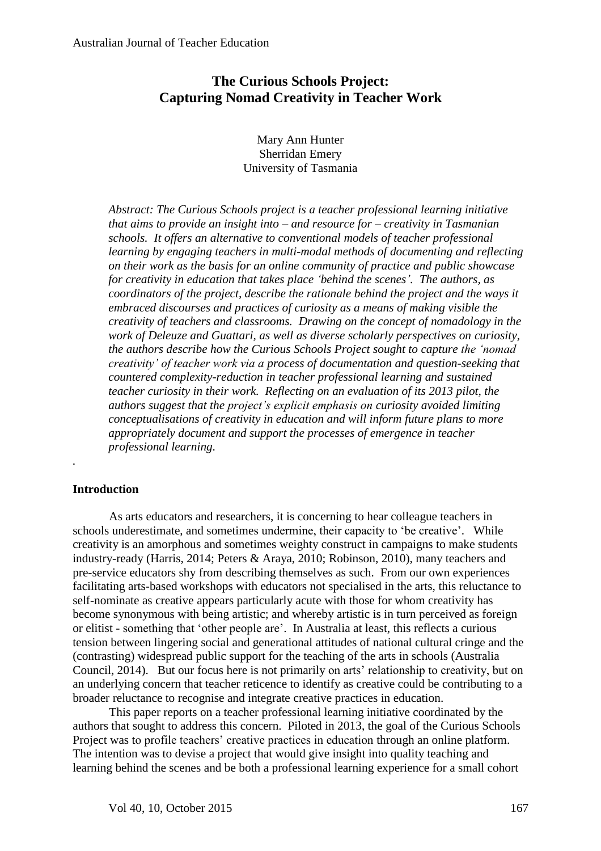### **The Curious Schools Project: Capturing Nomad Creativity in Teacher Work**

Mary Ann Hunter Sherridan Emery University of Tasmania

*Abstract: The Curious Schools project is a teacher professional learning initiative that aims to provide an insight into – and resource for – creativity in Tasmanian schools. It offers an alternative to conventional models of teacher professional learning by engaging teachers in multi-modal methods of documenting and reflecting on their work as the basis for an online community of practice and public showcase for creativity in education that takes place 'behind the scenes'. The authors, as coordinators of the project, describe the rationale behind the project and the ways it embraced discourses and practices of curiosity as a means of making visible the creativity of teachers and classrooms. Drawing on the concept of nomadology in the work of Deleuze and Guattari, as well as diverse scholarly perspectives on curiosity, the authors describe how the Curious Schools Project sought to capture the 'nomad creativity' of teacher work via a process of documentation and question-seeking that countered complexity-reduction in teacher professional learning and sustained teacher curiosity in their work. Reflecting on an evaluation of its 2013 pilot, the authors suggest that the project's explicit emphasis on curiosity avoided limiting conceptualisations of creativity in education and will inform future plans to more appropriately document and support the processes of emergence in teacher professional learning.*

#### **Introduction**

*.*

As arts educators and researchers, it is concerning to hear colleague teachers in schools underestimate, and sometimes undermine, their capacity to 'be creative'. While creativity is an amorphous and sometimes weighty construct in campaigns to make students industry-ready (Harris, 2014; Peters & Araya, 2010; Robinson, 2010), many teachers and pre-service educators shy from describing themselves as such. From our own experiences facilitating arts-based workshops with educators not specialised in the arts, this reluctance to self-nominate as creative appears particularly acute with those for whom creativity has become synonymous with being artistic; and whereby artistic is in turn perceived as foreign or elitist - something that 'other people are'. In Australia at least, this reflects a curious tension between lingering social and generational attitudes of national cultural cringe and the (contrasting) widespread public support for the teaching of the arts in schools (Australia Council, 2014). But our focus here is not primarily on arts' relationship to creativity, but on an underlying concern that teacher reticence to identify as creative could be contributing to a broader reluctance to recognise and integrate creative practices in education.

This paper reports on a teacher professional learning initiative coordinated by the authors that sought to address this concern. Piloted in 2013, the goal of the Curious Schools Project was to profile teachers' creative practices in education through an online platform. The intention was to devise a project that would give insight into quality teaching and learning behind the scenes and be both a professional learning experience for a small cohort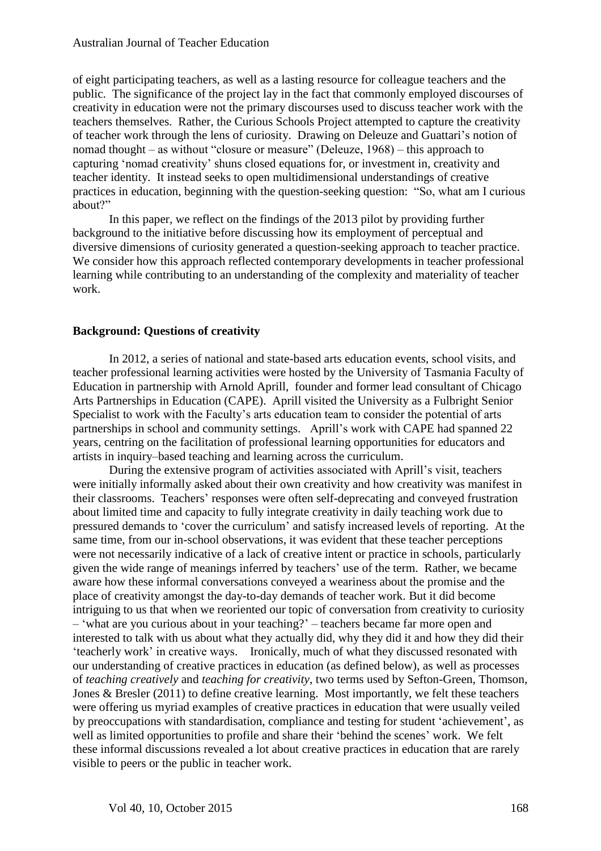of eight participating teachers, as well as a lasting resource for colleague teachers and the public. The significance of the project lay in the fact that commonly employed discourses of creativity in education were not the primary discourses used to discuss teacher work with the teachers themselves. Rather, the Curious Schools Project attempted to capture the creativity of teacher work through the lens of curiosity. Drawing on Deleuze and Guattari's notion of nomad thought – as without "closure or measure" (Deleuze, 1968) – this approach to capturing 'nomad creativity' shuns closed equations for, or investment in, creativity and teacher identity. It instead seeks to open multidimensional understandings of creative practices in education, beginning with the question-seeking question: "So, what am I curious about?"

In this paper, we reflect on the findings of the 2013 pilot by providing further background to the initiative before discussing how its employment of perceptual and diversive dimensions of curiosity generated a question-seeking approach to teacher practice. We consider how this approach reflected contemporary developments in teacher professional learning while contributing to an understanding of the complexity and materiality of teacher work.

#### **Background: Questions of creativity**

In 2012, a series of national and state-based arts education events, school visits, and teacher professional learning activities were hosted by the University of Tasmania Faculty of Education in partnership with Arnold Aprill, founder and former lead consultant of Chicago Arts Partnerships in Education (CAPE). Aprill visited the University as a Fulbright Senior Specialist to work with the Faculty's arts education team to consider the potential of arts partnerships in school and community settings. Aprill's work with CAPE had spanned 22 years, centring on the facilitation of professional learning opportunities for educators and artists in inquiry–based teaching and learning across the curriculum.

During the extensive program of activities associated with Aprill's visit, teachers were initially informally asked about their own creativity and how creativity was manifest in their classrooms. Teachers' responses were often self-deprecating and conveyed frustration about limited time and capacity to fully integrate creativity in daily teaching work due to pressured demands to 'cover the curriculum' and satisfy increased levels of reporting. At the same time, from our in-school observations, it was evident that these teacher perceptions were not necessarily indicative of a lack of creative intent or practice in schools, particularly given the wide range of meanings inferred by teachers' use of the term. Rather, we became aware how these informal conversations conveyed a weariness about the promise and the place of creativity amongst the day-to-day demands of teacher work. But it did become intriguing to us that when we reoriented our topic of conversation from creativity to curiosity – 'what are you curious about in your teaching?' – teachers became far more open and interested to talk with us about what they actually did, why they did it and how they did their 'teacherly work' in creative ways. Ironically, much of what they discussed resonated with our understanding of creative practices in education (as defined below), as well as processes of *teaching creatively* and *teaching for creativity*, two terms used by Sefton-Green, Thomson, Jones & Bresler (2011) to define creative learning. Most importantly, we felt these teachers were offering us myriad examples of creative practices in education that were usually veiled by preoccupations with standardisation, compliance and testing for student 'achievement', as well as limited opportunities to profile and share their 'behind the scenes' work. We felt these informal discussions revealed a lot about creative practices in education that are rarely visible to peers or the public in teacher work.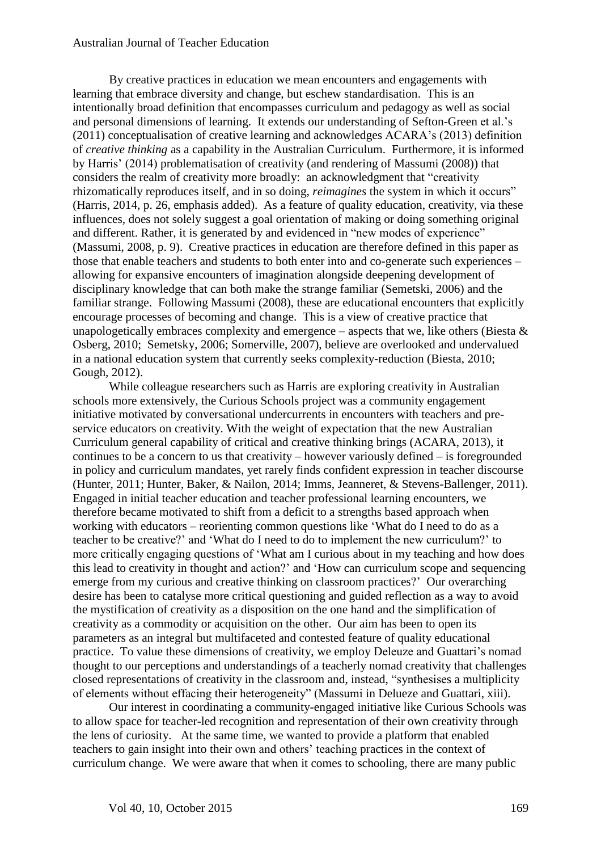#### Australian Journal of Teacher Education

By creative practices in education we mean encounters and engagements with learning that embrace diversity and change, but eschew standardisation. This is an intentionally broad definition that encompasses curriculum and pedagogy as well as social and personal dimensions of learning. It extends our understanding of Sefton-Green et al.'s (2011) conceptualisation of creative learning and acknowledges ACARA's (2013) definition of *creative thinking* as a capability in the Australian Curriculum. Furthermore, it is informed by Harris' (2014) problematisation of creativity (and rendering of Massumi (2008)) that considers the realm of creativity more broadly: an acknowledgment that "creativity rhizomatically reproduces itself, and in so doing, *reimagines* the system in which it occurs" (Harris, 2014, p. 26, emphasis added). As a feature of quality education, creativity, via these influences, does not solely suggest a goal orientation of making or doing something original and different. Rather, it is generated by and evidenced in "new modes of experience" (Massumi, 2008, p. 9). Creative practices in education are therefore defined in this paper as those that enable teachers and students to both enter into and co-generate such experiences – allowing for expansive encounters of imagination alongside deepening development of disciplinary knowledge that can both make the strange familiar (Semetski, 2006) and the familiar strange. Following Massumi (2008), these are educational encounters that explicitly encourage processes of becoming and change. This is a view of creative practice that unapologetically embraces complexity and emergence – aspects that we, like others (Biesta  $\&$ Osberg, 2010; Semetsky, 2006; Somerville, 2007), believe are overlooked and undervalued in a national education system that currently seeks complexity-reduction (Biesta, 2010; Gough, 2012).

While colleague researchers such as Harris are exploring creativity in Australian schools more extensively, the Curious Schools project was a community engagement initiative motivated by conversational undercurrents in encounters with teachers and preservice educators on creativity. With the weight of expectation that the new Australian Curriculum general capability of critical and creative thinking brings (ACARA, 2013), it continues to be a concern to us that creativity – however variously defined – is foregrounded in policy and curriculum mandates, yet rarely finds confident expression in teacher discourse (Hunter, 2011; Hunter, Baker, & Nailon, 2014; Imms, Jeanneret, & Stevens-Ballenger, 2011). Engaged in initial teacher education and teacher professional learning encounters, we therefore became motivated to shift from a deficit to a strengths based approach when working with educators – reorienting common questions like 'What do I need to do as a teacher to be creative?' and 'What do I need to do to implement the new curriculum?' to more critically engaging questions of 'What am I curious about in my teaching and how does this lead to creativity in thought and action?' and 'How can curriculum scope and sequencing emerge from my curious and creative thinking on classroom practices?' Our overarching desire has been to catalyse more critical questioning and guided reflection as a way to avoid the mystification of creativity as a disposition on the one hand and the simplification of creativity as a commodity or acquisition on the other. Our aim has been to open its parameters as an integral but multifaceted and contested feature of quality educational practice. To value these dimensions of creativity, we employ Deleuze and Guattari's nomad thought to our perceptions and understandings of a teacherly nomad creativity that challenges closed representations of creativity in the classroom and, instead, "synthesises a multiplicity of elements without effacing their heterogeneity" (Massumi in Delueze and Guattari, xiii).

Our interest in coordinating a community-engaged initiative like Curious Schools was to allow space for teacher-led recognition and representation of their own creativity through the lens of curiosity. At the same time, we wanted to provide a platform that enabled teachers to gain insight into their own and others' teaching practices in the context of curriculum change. We were aware that when it comes to schooling, there are many public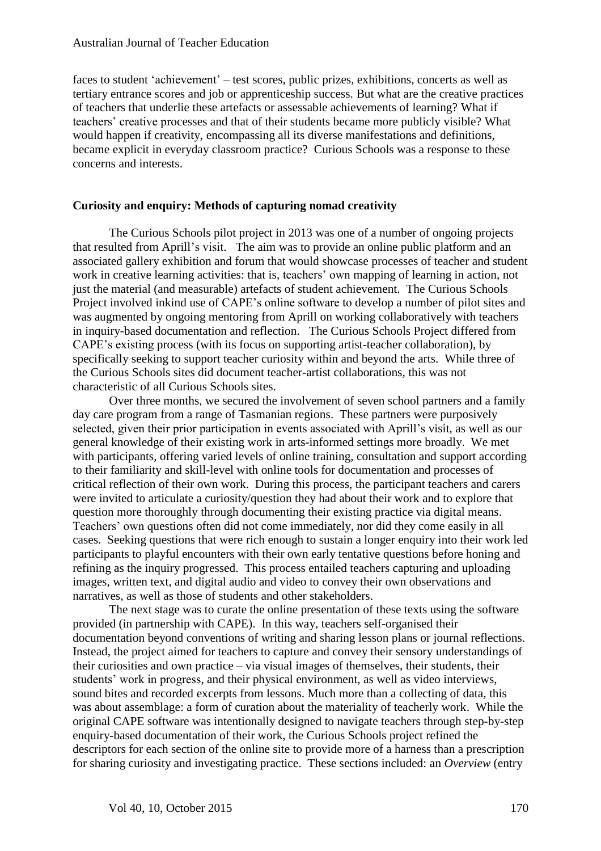faces to student 'achievement' – test scores, public prizes, exhibitions, concerts as well as tertiary entrance scores and job or apprenticeship success. But what are the creative practices of teachers that underlie these artefacts or assessable achievements of learning? What if teachers' creative processes and that of their students became more publicly visible? What would happen if creativity, encompassing all its diverse manifestations and definitions, became explicit in everyday classroom practice? Curious Schools was a response to these concerns and interests.

#### **Curiosity and enquiry: Methods of capturing nomad creativity**

The Curious Schools pilot project in 2013 was one of a number of ongoing projects that resulted from Aprill's visit. The aim was to provide an online public platform and an associated gallery exhibition and forum that would showcase processes of teacher and student work in creative learning activities: that is, teachers' own mapping of learning in action, not just the material (and measurable) artefacts of student achievement. The Curious Schools Project involved inkind use of CAPE's online software to develop a number of pilot sites and was augmented by ongoing mentoring from Aprill on working collaboratively with teachers in inquiry-based documentation and reflection. The Curious Schools Project differed from CAPE's existing process (with its focus on supporting artist-teacher collaboration), by specifically seeking to support teacher curiosity within and beyond the arts. While three of the Curious Schools sites did document teacher-artist collaborations, this was not characteristic of all Curious Schools sites.

Over three months, we secured the involvement of seven school partners and a family day care program from a range of Tasmanian regions. These partners were purposively selected, given their prior participation in events associated with Aprill's visit, as well as our general knowledge of their existing work in arts-informed settings more broadly. We met with participants, offering varied levels of online training, consultation and support according to their familiarity and skill-level with online tools for documentation and processes of critical reflection of their own work. During this process, the participant teachers and carers were invited to articulate a curiosity/question they had about their work and to explore that question more thoroughly through documenting their existing practice via digital means. Teachers' own questions often did not come immediately, nor did they come easily in all cases. Seeking questions that were rich enough to sustain a longer enquiry into their work led participants to playful encounters with their own early tentative questions before honing and refining as the inquiry progressed. This process entailed teachers capturing and uploading images, written text, and digital audio and video to convey their own observations and narratives, as well as those of students and other stakeholders.

The next stage was to curate the online presentation of these texts using the software provided (in partnership with CAPE). In this way, teachers self-organised their documentation beyond conventions of writing and sharing lesson plans or journal reflections. Instead, the project aimed for teachers to capture and convey their sensory understandings of their curiosities and own practice – via visual images of themselves, their students, their students' work in progress, and their physical environment, as well as video interviews, sound bites and recorded excerpts from lessons. Much more than a collecting of data, this was about assemblage: a form of curation about the materiality of teacherly work. While the original CAPE software was intentionally designed to navigate teachers through step-by-step enquiry-based documentation of their work, the Curious Schools project refined the descriptors for each section of the online site to provide more of a harness than a prescription for sharing curiosity and investigating practice. These sections included: an *Overview* (entry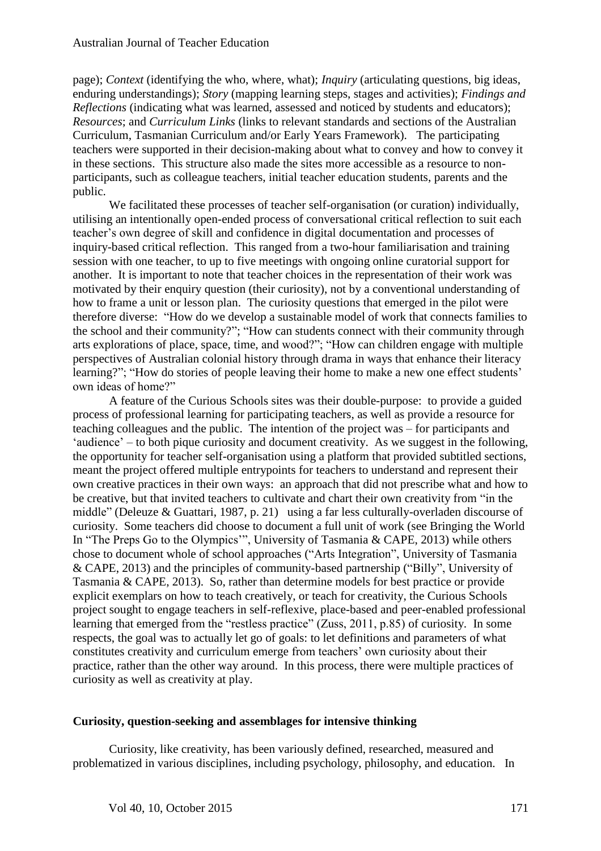page); *Context* (identifying the who, where, what); *Inquiry* (articulating questions, big ideas, enduring understandings); *Story* (mapping learning steps, stages and activities); *Findings and Reflections* (indicating what was learned, assessed and noticed by students and educators); *Resources*; and *Curriculum Links* (links to relevant standards and sections of the Australian Curriculum, Tasmanian Curriculum and/or Early Years Framework)*.* The participating teachers were supported in their decision-making about what to convey and how to convey it in these sections. This structure also made the sites more accessible as a resource to nonparticipants, such as colleague teachers, initial teacher education students, parents and the public.

We facilitated these processes of teacher self-organisation (or curation) individually, utilising an intentionally open-ended process of conversational critical reflection to suit each teacher's own degree of skill and confidence in digital documentation and processes of inquiry-based critical reflection. This ranged from a two-hour familiarisation and training session with one teacher, to up to five meetings with ongoing online curatorial support for another. It is important to note that teacher choices in the representation of their work was motivated by their enquiry question (their curiosity), not by a conventional understanding of how to frame a unit or lesson plan. The curiosity questions that emerged in the pilot were therefore diverse: "How do we develop a sustainable model of work that connects families to the school and their community?"; "How can students connect with their community through arts explorations of place, space, time, and wood?"; "How can children engage with multiple perspectives of Australian colonial history through drama in ways that enhance their literacy learning?"; "How do stories of people leaving their home to make a new one effect students' own ideas of home?"

A feature of the Curious Schools sites was their double-purpose: to provide a guided process of professional learning for participating teachers, as well as provide a resource for teaching colleagues and the public. The intention of the project was – for participants and 'audience' – to both pique curiosity and document creativity. As we suggest in the following, the opportunity for teacher self-organisation using a platform that provided subtitled sections, meant the project offered multiple entrypoints for teachers to understand and represent their own creative practices in their own ways: an approach that did not prescribe what and how to be creative, but that invited teachers to cultivate and chart their own creativity from "in the middle" (Deleuze & Guattari, 1987, p. 21) using a far less culturally-overladen discourse of curiosity. Some teachers did choose to document a full unit of work (see Bringing the World In "The Preps Go to the Olympics'", University of Tasmania & CAPE, 2013) while others chose to document whole of school approaches ("Arts Integration", University of Tasmania & CAPE, 2013) and the principles of community-based partnership ("Billy", University of Tasmania & CAPE, 2013). So, rather than determine models for best practice or provide explicit exemplars on how to teach creatively, or teach for creativity, the Curious Schools project sought to engage teachers in self-reflexive, place-based and peer-enabled professional learning that emerged from the "restless practice" (Zuss, 2011, p.85) of curiosity. In some respects, the goal was to actually let go of goals: to let definitions and parameters of what constitutes creativity and curriculum emerge from teachers' own curiosity about their practice, rather than the other way around. In this process, there were multiple practices of curiosity as well as creativity at play.

#### **Curiosity, question-seeking and assemblages for intensive thinking**

Curiosity, like creativity, has been variously defined, researched, measured and problematized in various disciplines, including psychology, philosophy, and education. In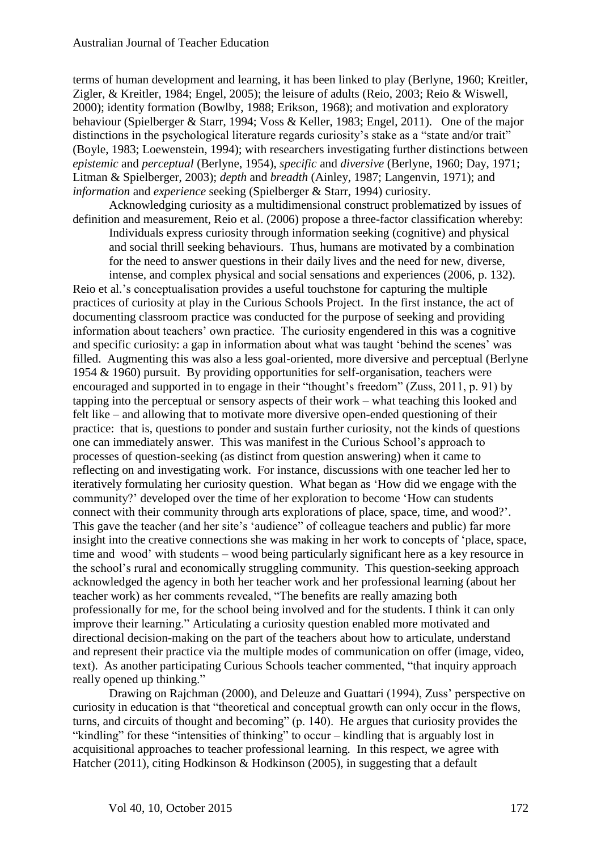terms of human development and learning, it has been linked to play (Berlyne, 1960; Kreitler, Zigler, & Kreitler, 1984; Engel, 2005); the leisure of adults (Reio, 2003; Reio & Wiswell, 2000); identity formation (Bowlby, 1988; Erikson, 1968); and motivation and exploratory behaviour (Spielberger & Starr, 1994; Voss & Keller, 1983; Engel, 2011). One of the major distinctions in the psychological literature regards curiosity's stake as a "state and/or trait" (Boyle, 1983; Loewenstein, 1994); with researchers investigating further distinctions between *epistemic* and *perceptual* (Berlyne, 1954), *specific* and *diversive* (Berlyne, 1960; Day, 1971; Litman & Spielberger, 2003); *depth* and *breadth* (Ainley, 1987; Langenvin, 1971); and *information* and *experience* seeking (Spielberger & Starr, 1994) curiosity.

Acknowledging curiosity as a multidimensional construct problematized by issues of definition and measurement, Reio et al. (2006) propose a three-factor classification whereby: Individuals express curiosity through information seeking (cognitive) and physical and social thrill seeking behaviours. Thus, humans are motivated by a combination for the need to answer questions in their daily lives and the need for new, diverse, intense, and complex physical and social sensations and experiences (2006, p. 132).

Reio et al.'s conceptualisation provides a useful touchstone for capturing the multiple practices of curiosity at play in the Curious Schools Project. In the first instance, the act of documenting classroom practice was conducted for the purpose of seeking and providing information about teachers' own practice. The curiosity engendered in this was a cognitive and specific curiosity: a gap in information about what was taught 'behind the scenes' was filled. Augmenting this was also a less goal-oriented, more diversive and perceptual (Berlyne 1954 & 1960) pursuit. By providing opportunities for self-organisation, teachers were encouraged and supported in to engage in their "thought's freedom" (Zuss, 2011, p. 91) by tapping into the perceptual or sensory aspects of their work – what teaching this looked and felt like – and allowing that to motivate more diversive open-ended questioning of their practice: that is, questions to ponder and sustain further curiosity, not the kinds of questions one can immediately answer. This was manifest in the Curious School's approach to processes of question-seeking (as distinct from question answering) when it came to reflecting on and investigating work. For instance, discussions with one teacher led her to iteratively formulating her curiosity question. What began as 'How did we engage with the community?' developed over the time of her exploration to become 'How can students connect with their community through arts explorations of place, space, time, and wood?'. This gave the teacher (and her site's 'audience" of colleague teachers and public) far more insight into the creative connections she was making in her work to concepts of 'place, space, time and wood' with students – wood being particularly significant here as a key resource in the school's rural and economically struggling community. This question-seeking approach acknowledged the agency in both her teacher work and her professional learning (about her teacher work) as her comments revealed, "The benefits are really amazing both professionally for me, for the school being involved and for the students. I think it can only improve their learning." Articulating a curiosity question enabled more motivated and directional decision-making on the part of the teachers about how to articulate, understand and represent their practice via the multiple modes of communication on offer (image, video, text). As another participating Curious Schools teacher commented, "that inquiry approach really opened up thinking."

Drawing on Rajchman (2000), and Deleuze and Guattari (1994), Zuss' perspective on curiosity in education is that "theoretical and conceptual growth can only occur in the flows, turns, and circuits of thought and becoming" (p. 140). He argues that curiosity provides the "kindling" for these "intensities of thinking" to occur – kindling that is arguably lost in acquisitional approaches to teacher professional learning. In this respect, we agree with Hatcher (2011), citing Hodkinson & Hodkinson (2005), in suggesting that a default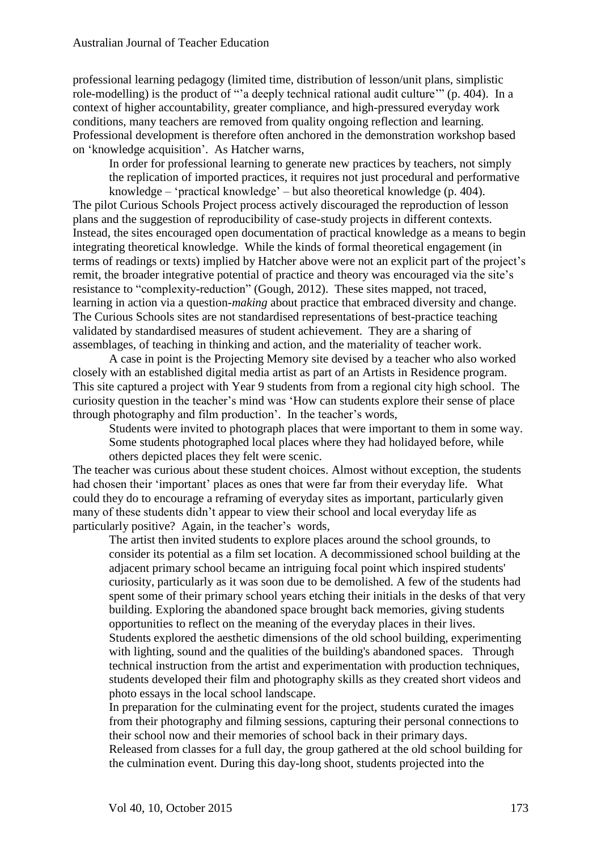professional learning pedagogy (limited time, distribution of lesson/unit plans, simplistic role-modelling) is the product of "'a deeply technical rational audit culture'" (p. 404). In a context of higher accountability, greater compliance, and high-pressured everyday work conditions, many teachers are removed from quality ongoing reflection and learning. Professional development is therefore often anchored in the demonstration workshop based on 'knowledge acquisition'. As Hatcher warns,

In order for professional learning to generate new practices by teachers, not simply the replication of imported practices, it requires not just procedural and performative knowledge – 'practical knowledge' – but also theoretical knowledge (p. 404).

The pilot Curious Schools Project process actively discouraged the reproduction of lesson plans and the suggestion of reproducibility of case-study projects in different contexts. Instead, the sites encouraged open documentation of practical knowledge as a means to begin integrating theoretical knowledge. While the kinds of formal theoretical engagement (in terms of readings or texts) implied by Hatcher above were not an explicit part of the project's remit, the broader integrative potential of practice and theory was encouraged via the site's resistance to "complexity-reduction" (Gough, 2012). These sites mapped, not traced, learning in action via a question-*making* about practice that embraced diversity and change. The Curious Schools sites are not standardised representations of best-practice teaching validated by standardised measures of student achievement. They are a sharing of assemblages, of teaching in thinking and action, and the materiality of teacher work.

A case in point is the Projecting Memory site devised by a teacher who also worked closely with an established digital media artist as part of an Artists in Residence program. This site captured a project with Year 9 students from from a regional city high school. The curiosity question in the teacher's mind was 'How can students explore their sense of place through photography and film production'. In the teacher's words,

Students were invited to photograph places that were important to them in some way. Some students photographed local places where they had holidayed before, while others depicted places they felt were scenic.

The teacher was curious about these student choices. Almost without exception, the students had chosen their 'important' places as ones that were far from their everyday life. What could they do to encourage a reframing of everyday sites as important, particularly given many of these students didn't appear to view their school and local everyday life as particularly positive? Again, in the teacher's words,

The artist then invited students to explore places around the school grounds, to consider its potential as a film set location. A decommissioned school building at the adjacent primary school became an intriguing focal point which inspired students' curiosity, particularly as it was soon due to be demolished. A few of the students had spent some of their primary school years etching their initials in the desks of that very building. Exploring the abandoned space brought back memories, giving students opportunities to reflect on the meaning of the everyday places in their lives. Students explored the aesthetic dimensions of the old school building, experimenting with lighting, sound and the qualities of the building's abandoned spaces. Through technical instruction from the artist and experimentation with production techniques, students developed their film and photography skills as they created short videos and photo essays in the local school landscape.

In preparation for the culminating event for the project, students curated the images from their photography and filming sessions, capturing their personal connections to their school now and their memories of school back in their primary days.

Released from classes for a full day, the group gathered at the old school building for the culmination event. During this day-long shoot, students projected into the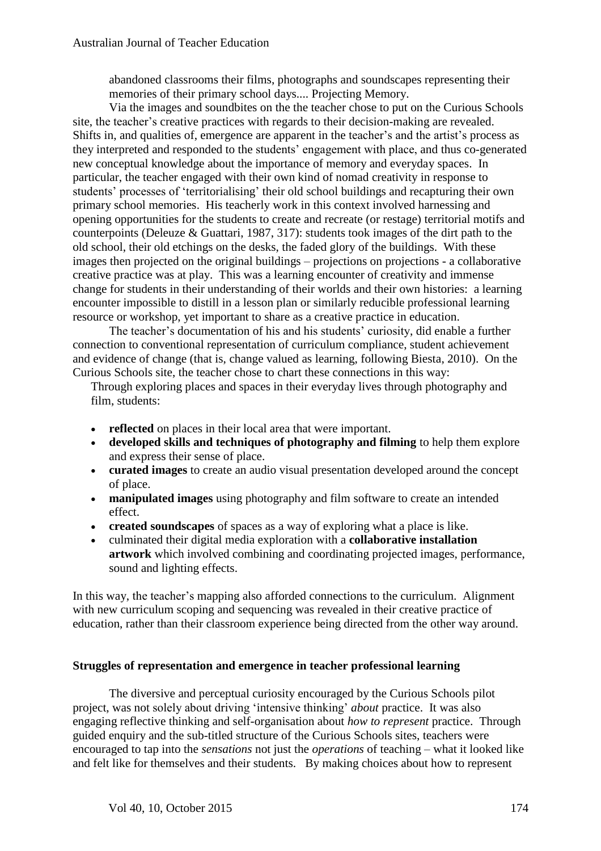abandoned classrooms their films, photographs and soundscapes representing their memories of their primary school days.... Projecting Memory.

Via the images and soundbites on the the teacher chose to put on the Curious Schools site, the teacher's creative practices with regards to their decision-making are revealed. Shifts in, and qualities of, emergence are apparent in the teacher's and the artist's process as they interpreted and responded to the students' engagement with place, and thus co-generated new conceptual knowledge about the importance of memory and everyday spaces. In particular, the teacher engaged with their own kind of nomad creativity in response to students' processes of 'territorialising' their old school buildings and recapturing their own primary school memories. His teacherly work in this context involved harnessing and opening opportunities for the students to create and recreate (or restage) territorial motifs and counterpoints (Deleuze & Guattari, 1987, 317): students took images of the dirt path to the old school, their old etchings on the desks, the faded glory of the buildings. With these images then projected on the original buildings – projections on projections - a collaborative creative practice was at play. This was a learning encounter of creativity and immense change for students in their understanding of their worlds and their own histories: a learning encounter impossible to distill in a lesson plan or similarly reducible professional learning resource or workshop, yet important to share as a creative practice in education.

The teacher's documentation of his and his students' curiosity, did enable a further connection to conventional representation of curriculum compliance, student achievement and evidence of change (that is, change valued as learning, following Biesta, 2010). On the Curious Schools site, the teacher chose to chart these connections in this way:

Through exploring places and spaces in their everyday lives through photography and film, students:

- **reflected** on places in their local area that were important.
- **developed skills and techniques of photography and filming** to help them explore and express their sense of place.
- **curated images** to create an audio visual presentation developed around the concept of place.
- **manipulated images** using photography and film software to create an intended effect.
- **created soundscapes** of spaces as a way of exploring what a place is like.
- culminated their digital media exploration with a **collaborative installation artwork** which involved combining and coordinating projected images, performance, sound and lighting effects.

In this way, the teacher's mapping also afforded connections to the curriculum. Alignment with new curriculum scoping and sequencing was revealed in their creative practice of education, rather than their classroom experience being directed from the other way around.

#### **Struggles of representation and emergence in teacher professional learning**

The diversive and perceptual curiosity encouraged by the Curious Schools pilot project, was not solely about driving 'intensive thinking' *about* practice. It was also engaging reflective thinking and self-organisation about *how to represent* practice. Through guided enquiry and the sub-titled structure of the Curious Schools sites, teachers were encouraged to tap into the *sensations* not just the *operations* of teaching – what it looked like and felt like for themselves and their students. By making choices about how to represent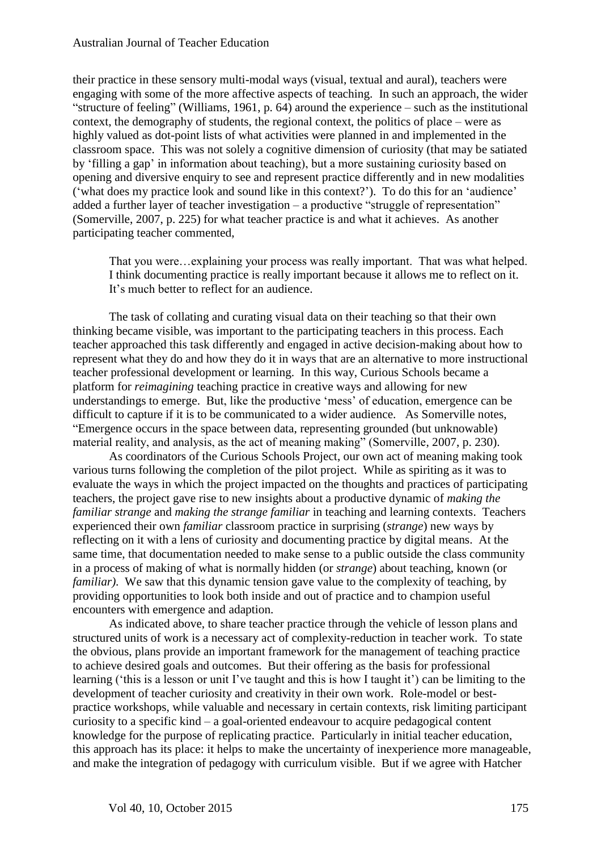#### Australian Journal of Teacher Education

their practice in these sensory multi-modal ways (visual, textual and aural), teachers were engaging with some of the more affective aspects of teaching. In such an approach, the wider "structure of feeling" (Williams, 1961, p. 64) around the experience – such as the institutional context, the demography of students, the regional context, the politics of place – were as highly valued as dot-point lists of what activities were planned in and implemented in the classroom space. This was not solely a cognitive dimension of curiosity (that may be satiated by 'filling a gap' in information about teaching), but a more sustaining curiosity based on opening and diversive enquiry to see and represent practice differently and in new modalities ('what does my practice look and sound like in this context?'). To do this for an 'audience' added a further layer of teacher investigation – a productive "struggle of representation" (Somerville, 2007, p. 225) for what teacher practice is and what it achieves. As another participating teacher commented,

That you were…explaining your process was really important. That was what helped. I think documenting practice is really important because it allows me to reflect on it. It's much better to reflect for an audience.

The task of collating and curating visual data on their teaching so that their own thinking became visible, was important to the participating teachers in this process. Each teacher approached this task differently and engaged in active decision-making about how to represent what they do and how they do it in ways that are an alternative to more instructional teacher professional development or learning. In this way, Curious Schools became a platform for *reimagining* teaching practice in creative ways and allowing for new understandings to emerge. But, like the productive 'mess' of education, emergence can be difficult to capture if it is to be communicated to a wider audience. As Somerville notes, "Emergence occurs in the space between data, representing grounded (but unknowable) material reality, and analysis, as the act of meaning making" (Somerville, 2007, p. 230).

As coordinators of the Curious Schools Project, our own act of meaning making took various turns following the completion of the pilot project. While as spiriting as it was to evaluate the ways in which the project impacted on the thoughts and practices of participating teachers, the project gave rise to new insights about a productive dynamic of *making the familiar strange* and *making the strange familiar* in teaching and learning contexts. Teachers experienced their own *familiar* classroom practice in surprising (*strange*) new ways by reflecting on it with a lens of curiosity and documenting practice by digital means. At the same time, that documentation needed to make sense to a public outside the class community in a process of making of what is normally hidden (or *strange*) about teaching, known (or *familiar*). We saw that this dynamic tension gave value to the complexity of teaching, by providing opportunities to look both inside and out of practice and to champion useful encounters with emergence and adaption.

As indicated above, to share teacher practice through the vehicle of lesson plans and structured units of work is a necessary act of complexity-reduction in teacher work. To state the obvious, plans provide an important framework for the management of teaching practice to achieve desired goals and outcomes. But their offering as the basis for professional learning ('this is a lesson or unit I've taught and this is how I taught it') can be limiting to the development of teacher curiosity and creativity in their own work. Role-model or bestpractice workshops, while valuable and necessary in certain contexts, risk limiting participant curiosity to a specific kind – a goal-oriented endeavour to acquire pedagogical content knowledge for the purpose of replicating practice. Particularly in initial teacher education, this approach has its place: it helps to make the uncertainty of inexperience more manageable, and make the integration of pedagogy with curriculum visible. But if we agree with Hatcher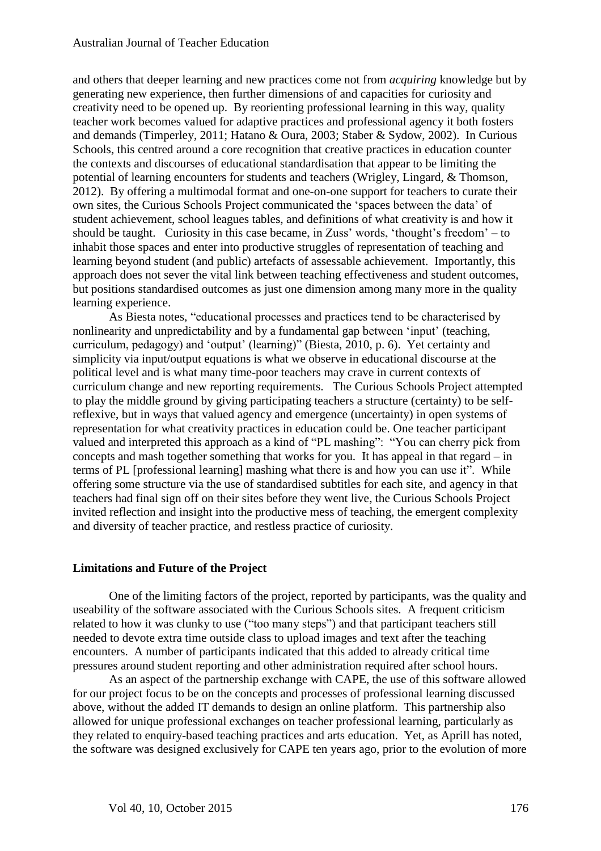and others that deeper learning and new practices come not from *acquiring* knowledge but by generating new experience, then further dimensions of and capacities for curiosity and creativity need to be opened up. By reorienting professional learning in this way, quality teacher work becomes valued for adaptive practices and professional agency it both fosters and demands (Timperley, 2011; Hatano & Oura, 2003; Staber & Sydow, 2002). In Curious Schools, this centred around a core recognition that creative practices in education counter the contexts and discourses of educational standardisation that appear to be limiting the potential of learning encounters for students and teachers (Wrigley, Lingard, & Thomson, 2012). By offering a multimodal format and one-on-one support for teachers to curate their own sites, the Curious Schools Project communicated the 'spaces between the data' of student achievement, school leagues tables, and definitions of what creativity is and how it should be taught. Curiosity in this case became, in Zuss' words, 'thought's freedom' – to inhabit those spaces and enter into productive struggles of representation of teaching and learning beyond student (and public) artefacts of assessable achievement. Importantly, this approach does not sever the vital link between teaching effectiveness and student outcomes, but positions standardised outcomes as just one dimension among many more in the quality learning experience.

As Biesta notes, "educational processes and practices tend to be characterised by nonlinearity and unpredictability and by a fundamental gap between 'input' (teaching, curriculum, pedagogy) and 'output' (learning)" (Biesta, 2010, p. 6). Yet certainty and simplicity via input/output equations is what we observe in educational discourse at the political level and is what many time-poor teachers may crave in current contexts of curriculum change and new reporting requirements. The Curious Schools Project attempted to play the middle ground by giving participating teachers a structure (certainty) to be selfreflexive, but in ways that valued agency and emergence (uncertainty) in open systems of representation for what creativity practices in education could be. One teacher participant valued and interpreted this approach as a kind of "PL mashing": "You can cherry pick from concepts and mash together something that works for you. It has appeal in that regard – in terms of PL [professional learning] mashing what there is and how you can use it". While offering some structure via the use of standardised subtitles for each site, and agency in that teachers had final sign off on their sites before they went live, the Curious Schools Project invited reflection and insight into the productive mess of teaching, the emergent complexity and diversity of teacher practice, and restless practice of curiosity.

#### **Limitations and Future of the Project**

One of the limiting factors of the project, reported by participants, was the quality and useability of the software associated with the Curious Schools sites. A frequent criticism related to how it was clunky to use ("too many steps") and that participant teachers still needed to devote extra time outside class to upload images and text after the teaching encounters. A number of participants indicated that this added to already critical time pressures around student reporting and other administration required after school hours.

As an aspect of the partnership exchange with CAPE, the use of this software allowed for our project focus to be on the concepts and processes of professional learning discussed above, without the added IT demands to design an online platform. This partnership also allowed for unique professional exchanges on teacher professional learning, particularly as they related to enquiry-based teaching practices and arts education. Yet, as Aprill has noted, the software was designed exclusively for CAPE ten years ago, prior to the evolution of more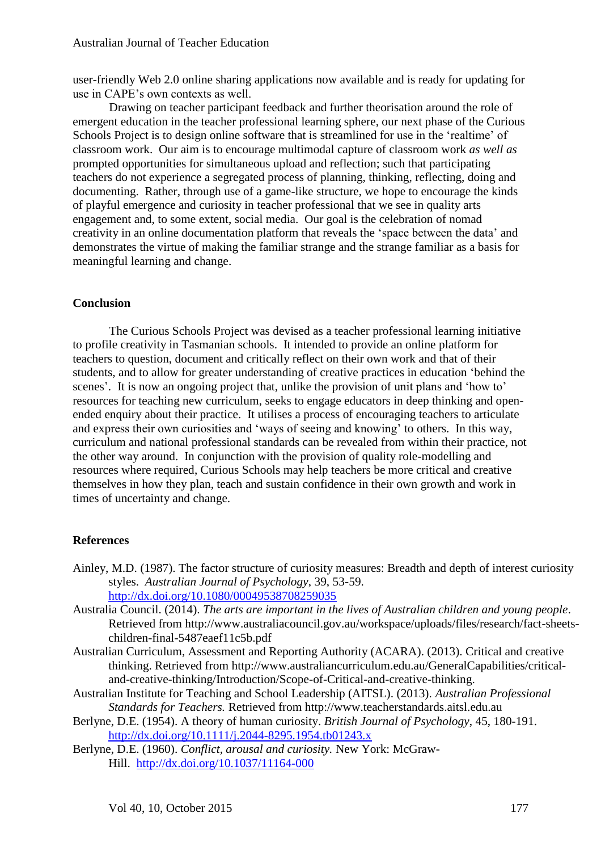user-friendly Web 2.0 online sharing applications now available and is ready for updating for use in CAPE's own contexts as well.

Drawing on teacher participant feedback and further theorisation around the role of emergent education in the teacher professional learning sphere, our next phase of the Curious Schools Project is to design online software that is streamlined for use in the 'realtime' of classroom work. Our aim is to encourage multimodal capture of classroom work *as well as*  prompted opportunities for simultaneous upload and reflection; such that participating teachers do not experience a segregated process of planning, thinking, reflecting, doing and documenting. Rather, through use of a game-like structure, we hope to encourage the kinds of playful emergence and curiosity in teacher professional that we see in quality arts engagement and, to some extent, social media. Our goal is the celebration of nomad creativity in an online documentation platform that reveals the 'space between the data' and demonstrates the virtue of making the familiar strange and the strange familiar as a basis for meaningful learning and change.

#### **Conclusion**

The Curious Schools Project was devised as a teacher professional learning initiative to profile creativity in Tasmanian schools. It intended to provide an online platform for teachers to question, document and critically reflect on their own work and that of their students, and to allow for greater understanding of creative practices in education 'behind the scenes'. It is now an ongoing project that, unlike the provision of unit plans and 'how to' resources for teaching new curriculum, seeks to engage educators in deep thinking and openended enquiry about their practice. It utilises a process of encouraging teachers to articulate and express their own curiosities and 'ways of seeing and knowing' to others. In this way, curriculum and national professional standards can be revealed from within their practice, not the other way around. In conjunction with the provision of quality role-modelling and resources where required, Curious Schools may help teachers be more critical and creative themselves in how they plan, teach and sustain confidence in their own growth and work in times of uncertainty and change.

#### **References**

- Ainley, M.D. (1987). The factor structure of curiosity measures: Breadth and depth of interest curiosity styles. *Australian Journal of Psychology*, 39, 53-59. <http://dx.doi.org/10.1080/00049538708259035>
- Australia Council. (2014). *The arts are important in the lives of Australian children and young people*. Retrieved from http://www.australiacouncil.gov.au/workspace/uploads/files/research/fact-sheetschildren-final-5487eaef11c5b.pdf
- Australian Curriculum, Assessment and Reporting Authority (ACARA). (2013). Critical and creative thinking. Retrieved from http://www.australiancurriculum.edu.au/GeneralCapabilities/criticaland-creative-thinking/Introduction/Scope-of-Critical-and-creative-thinking.
- Australian Institute for Teaching and School Leadership (AITSL). (2013). *Australian Professional Standards for Teachers.* Retrieved from http://www.teacherstandards.aitsl.edu.au
- Berlyne, D.E. (1954). A theory of human curiosity. *British Journal of Psychology*, 45, 180-191. <http://dx.doi.org/10.1111/j.2044-8295.1954.tb01243.x>
- Berlyne, D.E. (1960). *Conflict, arousal and curiosity.* New York: McGraw-Hill. <http://dx.doi.org/10.1037/11164-000>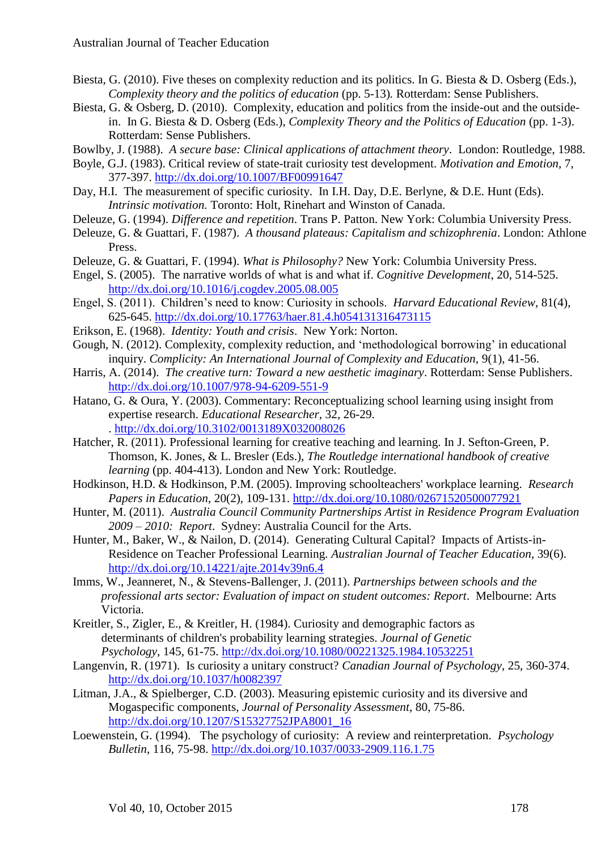- Biesta, G. (2010). Five theses on complexity reduction and its politics. In G. Biesta & D. Osberg (Eds.), *Complexity theory and the politics of education* (pp. 5-13). Rotterdam: Sense Publishers.
- Biesta, G. & Osberg, D. (2010). Complexity, education and politics from the inside-out and the outsidein. In G. Biesta & D. Osberg (Eds.), *Complexity Theory and the Politics of Education* (pp. 1-3). Rotterdam: Sense Publishers.
- Bowlby, J. (1988). *A secure base: Clinical applications of attachment theory*. London: Routledge, 1988.
- Boyle, G.J. (1983). Critical review of state-trait curiosity test development. *Motivation and Emotion*, 7, 377-397.<http://dx.doi.org/10.1007/BF00991647>
- Day, H.I. The measurement of specific curiosity. In I.H. Day, D.E. Berlyne, & D.E. Hunt (Eds). *Intrinsic motivation.* Toronto: Holt, Rinehart and Winston of Canada.
- Deleuze, G. (1994). *Difference and repetition*. Trans P. Patton. New York: Columbia University Press.
- Deleuze, G. & Guattari, F. (1987). *A thousand plateaus: Capitalism and schizophrenia*. London: Athlone Press.
- Deleuze, G. & Guattari, F. (1994). *What is Philosophy?* New York: Columbia University Press.
- Engel, S. (2005). The narrative worlds of what is and what if. *Cognitive Development*, 20, 514-525. <http://dx.doi.org/10.1016/j.cogdev.2005.08.005>
- Engel, S. (2011). Children's need to know: Curiosity in schools. *Harvard Educational Review*, 81(4), 625-645. <http://dx.doi.org/10.17763/haer.81.4.h054131316473115>
- Erikson, E. (1968). *Identity: Youth and crisis*. New York: Norton.
- Gough, N. (2012). Complexity, complexity reduction, and 'methodological borrowing' in educational inquiry. *Complicity: An International Journal of Complexity and Education*, 9(1), 41-56.
- Harris, A. (2014). *The creative turn: Toward a new aesthetic imaginary*. Rotterdam: Sense Publishers. <http://dx.doi.org/10.1007/978-94-6209-551-9>
- Hatano, G. & Oura, Y. (2003). Commentary: Reconceptualizing school learning using insight from expertise research. *Educational Researcher*, 32, 26-29. . <http://dx.doi.org/10.3102/0013189X032008026>
- Hatcher, R. (2011). Professional learning for creative teaching and learning. In J. Sefton-Green, P. Thomson, K. Jones, & L. Bresler (Eds.), *The Routledge international handbook of creative learning* (pp. 404-413). London and New York: Routledge.
- Hodkinson, H.D. & Hodkinson, P.M. (2005). Improving schoolteachers' workplace learning. *Research Papers in Education*, 20(2), 109-131.<http://dx.doi.org/10.1080/02671520500077921>
- Hunter, M. (2011). *Australia Council Community Partnerships Artist in Residence Program Evaluation 2009 – 2010: Report*. Sydney: Australia Council for the Arts.
- Hunter, M., Baker, W., & Nailon, D. (2014). Generating Cultural Capital? Impacts of Artists-in-Residence on Teacher Professional Learning. *Australian Journal of Teacher Education*, 39(6). <http://dx.doi.org/10.14221/ajte.2014v39n6.4>
- Imms, W., Jeanneret, N., & Stevens-Ballenger, J. (2011). *Partnerships between schools and the professional arts sector: Evaluation of impact on student outcomes: Report*. Melbourne: Arts Victoria.
- Kreitler, S., Zigler, E., & Kreitler, H. (1984). Curiosity and demographic factors as determinants of children's probability learning strategies. *Journal of Genetic Psychology*, 145, 61-75. <http://dx.doi.org/10.1080/00221325.1984.10532251>
- Langenvin, R. (1971). Is curiosity a unitary construct? *Canadian Journal of Psychology*, 25, 360-374. <http://dx.doi.org/10.1037/h0082397>
- Litman, J.A., & Spielberger, C.D. (2003). Measuring epistemic curiosity and its diversive and Mogaspecific components, *Journal of Personality Assessment*, 80, 75-86. [http://dx.doi.org/10.1207/S15327752JPA8001\\_16](http://dx.doi.org/10.1207/S15327752JPA8001_16)
- Loewenstein, G. (1994). The psychology of curiosity: A review and reinterpretation. *Psychology Bulletin*, 116, 75-98. <http://dx.doi.org/10.1037/0033-2909.116.1.75>